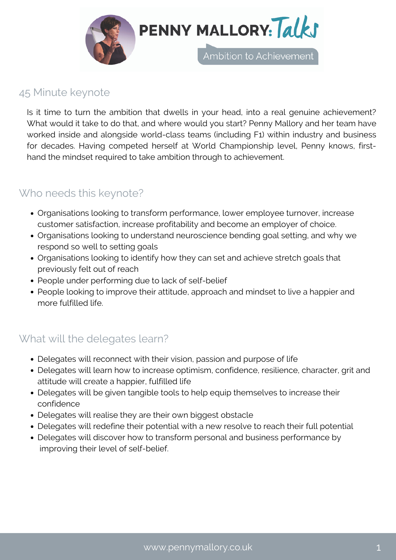

### 45 Minute keynote

Is it time to turn the ambition that dwells in your head, into a real genuine achievement? What would it take to do that, and where would you start? Penny Mallory and her team have worked inside and alongside world-class teams (including F1) within industry and business for decades. Having competed herself at World Championship level, Penny knows, firsthand the mindset required to take ambition through to achievement.

## Who needs this keynote?

- Organisations looking to transform performance, lower employee turnover, increase customer satisfaction, increase profitability and become an employer of choice.
- Organisations looking to understand neuroscience bending goal setting, and why we respond so well to setting goals
- Organisations looking to identify how they can set and achieve stretch goals that previously felt out of reach
- People under performing due to lack of self-belief
- People looking to improve their attitude, approach and mindset to live a happier and more fulfilled life.

# What will the delegates learn?

- Delegates will reconnect with their vision, passion and purpose of life
- Delegates will learn how to increase optimism, confidence, resilience, character, grit and attitude will create a happier, fulfilled life
- Delegates will be given tangible tools to help equip themselves to increase their confidence
- Delegates will realise they are their own biggest obstacle
- Delegates will redefine their potential with a new resolve to reach their full potential
- Delegates will discover how to transform personal and business performance by improving their level of self-belief.